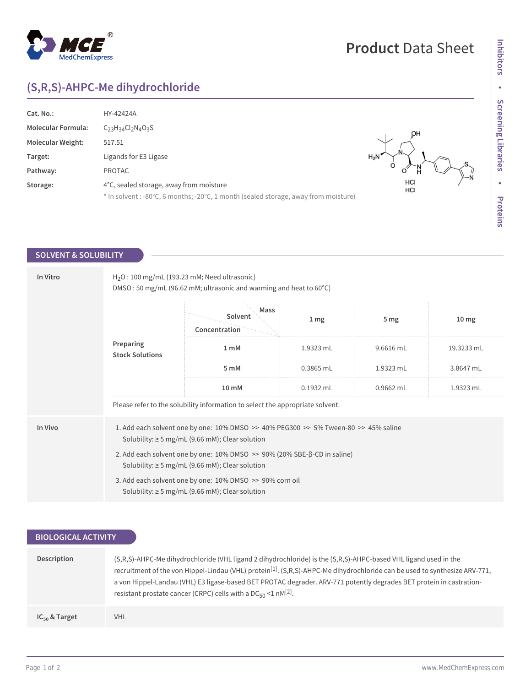## $^{\circledR}$ MedChemExpress

## **Product** Data Sheet

# **Inhibitors • Screening Libraries • Proteins**

 $\begin{matrix} S \\ N \end{matrix}$ 

## **(S,R,S)-AHPC-Me dihydrochloride**

| Cat. No.:                 | HY-42424A                                                                                                                      |            |
|---------------------------|--------------------------------------------------------------------------------------------------------------------------------|------------|
| <b>Molecular Formula:</b> | $C_{23}H_{34}Cl_{2}N_{4}O_{3}S$                                                                                                |            |
| <b>Molecular Weight:</b>  | 517.51                                                                                                                         |            |
| Target:                   | Ligands for E3 Ligase                                                                                                          | $H_2N$     |
| Pathway:                  | <b>PROTAC</b>                                                                                                                  |            |
| Storage:                  | 4°C, sealed storage, away from moisture<br>* In solvent : -80°C, 6 months; -20°C, 1 month (sealed storage, away from moisture) | HCI<br>HCI |

### **SOLVENT & SOLUBILITY**

| In Vitro | $H2O$ : 100 mg/mL (193.23 mM; Need ultrasonic)<br>DMSO: 50 mg/mL (96.62 mM; ultrasonic and warming and heat to 60°C)                        |                                                                                                                  |                 |                 |                  |  |
|----------|---------------------------------------------------------------------------------------------------------------------------------------------|------------------------------------------------------------------------------------------------------------------|-----------------|-----------------|------------------|--|
|          | Preparing<br><b>Stock Solutions</b>                                                                                                         | Mass<br>Solvent<br>Concentration                                                                                 | 1 <sub>mg</sub> | 5 <sub>mg</sub> | 10 <sub>mg</sub> |  |
|          |                                                                                                                                             | 1 <sub>m</sub> M                                                                                                 | 1.9323 mL       | 9.6616 mL       | 19.3233 mL       |  |
|          |                                                                                                                                             | 5 mM                                                                                                             | $0.3865$ mL     | 1.9323 mL       | 3.8647 mL        |  |
|          |                                                                                                                                             | 10 mM                                                                                                            | $0.1932$ mL     | $0.9662$ mL     | 1.9323 mL        |  |
|          |                                                                                                                                             | Please refer to the solubility information to select the appropriate solvent.                                    |                 |                 |                  |  |
| In Vivo  | 1. Add each solvent one by one: 10% DMSO >> 40% PEG300 >> 5% Tween-80 >> 45% saline<br>Solubility: $\geq$ 5 mg/mL (9.66 mM); Clear solution |                                                                                                                  |                 |                 |                  |  |
|          | 2. Add each solvent one by one: 10% DMSO >> 90% (20% SBE-β-CD in saline)<br>Solubility: $\geq$ 5 mg/mL (9.66 mM); Clear solution            |                                                                                                                  |                 |                 |                  |  |
|          |                                                                                                                                             | 3. Add each solvent one by one: 10% DMSO >> 90% corn oil<br>Solubility: $\geq$ 5 mg/mL (9.66 mM); Clear solution |                 |                 |                  |  |

| <b>BIOLOGICAL ACTIVITY</b> |                                                                                                                                                                                                                                                                                                                                                                                                                                                       |  |  |  |
|----------------------------|-------------------------------------------------------------------------------------------------------------------------------------------------------------------------------------------------------------------------------------------------------------------------------------------------------------------------------------------------------------------------------------------------------------------------------------------------------|--|--|--|
|                            |                                                                                                                                                                                                                                                                                                                                                                                                                                                       |  |  |  |
| Description                | (S,R,S)-AHPC-Me dihydrochloride (VHL ligand 2 dihydrochloride) is the (S,R,S)-AHPC-based VHL ligand used in the<br>recruitment of the von Hippel-Lindau (VHL) protein <sup>[1]</sup> . (S,R,S)-AHPC-Me dihydrochloride can be used to synthesize ARV-771,<br>a von Hippel-Landau (VHL) E3 ligase-based BET PROTAC degrader. ARV-771 potently degrades BET protein in castration-<br>resistant prostate cancer (CRPC) cells with a $DC_{50}$ <1 nM[2]. |  |  |  |
| $IC_{50}$ & Target         | VHL.                                                                                                                                                                                                                                                                                                                                                                                                                                                  |  |  |  |